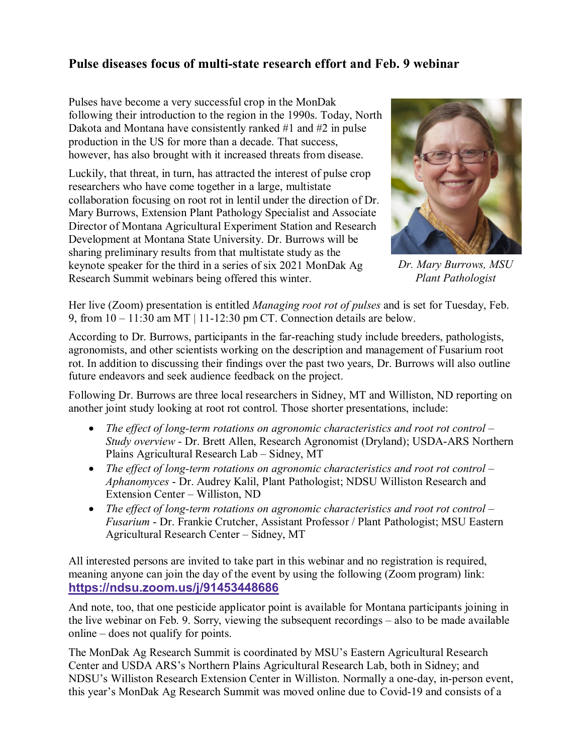## **Pulse diseases focus of multi-state research effort and Feb. 9 webinar**

Pulses have become a very successful crop in the MonDak following their introduction to the region in the 1990s. Today, North Dakota and Montana have consistently ranked #1 and #2 in pulse production in the US for more than a decade. That success, however, has also brought with it increased threats from disease.

Luckily, that threat, in turn, has attracted the interest of pulse crop researchers who have come together in a large, multistate collaboration focusing on root rot in lentil under the direction of Dr. Mary Burrows, Extension Plant Pathology Specialist and Associate Director of Montana Agricultural Experiment Station and Research Development at Montana State University. Dr. Burrows will be sharing preliminary results from that multistate study as the keynote speaker for the third in a series of six 2021 MonDak Ag Research Summit webinars being offered this winter.



*Dr. Mary Burrows, MSU Plant Pathologist*

Her live (Zoom) presentation is entitled *Managing root rot of pulses* and is set for Tuesday, Feb. 9, from  $10 - 11:30$  am MT | 11-12:30 pm CT. Connection details are below.

According to Dr. Burrows, participants in the far-reaching study include breeders, pathologists, agronomists, and other scientists working on the description and management of Fusarium root rot. In addition to discussing their findings over the past two years, Dr. Burrows will also outline future endeavors and seek audience feedback on the project.

Following Dr. Burrows are three local researchers in Sidney, MT and Williston, ND reporting on another joint study looking at root rot control. Those shorter presentations, include:

- *The effect of long-term rotations on agronomic characteristics and root rot control – Study overview* - Dr. Brett Allen, Research Agronomist (Dryland); USDA-ARS Northern Plains Agricultural Research Lab – Sidney, MT
- *The effect of long-term rotations on agronomic characteristics and root rot control – Aphanomyces* - Dr. Audrey Kalil, Plant Pathologist; NDSU Williston Research and Extension Center – Williston, ND
- *The effect of long-term rotations on agronomic characteristics and root rot control – Fusarium* - Dr. Frankie Crutcher, Assistant Professor / Plant Pathologist; MSU Eastern Agricultural Research Center – Sidney, MT

All interested persons are invited to take part in this webinar and no registration is required, meaning anyone can join the day of the event by using the following (Zoom program) link: **[https://ndsu.zoom.us/j/91453448686](https://gcc02.safelinks.protection.outlook.com/?url=https%3A%2F%2Fndsu.zoom.us%2Fj%2F91453448686&data=04%7C01%7C%7C22b3bbcaa7f2405cc9c208d8adbc6989%7Ced5b36e701ee4ebc867ee03cfa0d4697%7C0%7C0%7C637450372026386760%7CUnknown%7CTWFpbGZsb3d8eyJWIjoiMC4wLjAwMDAiLCJQIjoiV2luMzIiLCJBTiI6Ik1haWwiLCJXVCI6Mn0%3D%7C1000&sdata=Z%2BY0zr54CO6FF0UCIHT%2FyUV6FyJcHFWDgahaPlcKqF8%3D&reserved=0)**

And note, too, that one pesticide applicator point is available for Montana participants joining in the live webinar on Feb. 9. Sorry, viewing the subsequent recordings – also to be made available online – does not qualify for points.

The MonDak Ag Research Summit is coordinated by MSU's Eastern Agricultural Research Center and USDA ARS's Northern Plains Agricultural Research Lab, both in Sidney; and NDSU's Williston Research Extension Center in Williston. Normally a one-day, in-person event, this year's MonDak Ag Research Summit was moved online due to Covid-19 and consists of a